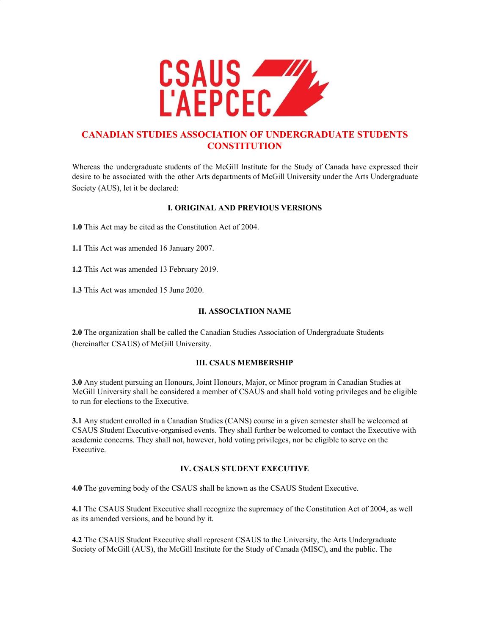

# **CANADIAN STUDIES ASSOCIATION OF UNDERGRADUATE STUDENTS CONSTITUTION**

Whereas the undergraduate students of the McGill Institute for the Study of Canada have expressed their desire to be associated with the other Arts departments of McGill University under the Arts Undergraduate Society (AUS), let it be declared:

## **I. ORIGINAL AND PREVIOUS VERSIONS**

**1.0** This Act may be cited as the Constitution Act of 2004.

**1.1** This Act was amended 16 January 2007.

**1.2** This Act was amended 13 February 2019.

**1.3** This Act was amended 15 June 2020.

## **II. ASSOCIATION NAME**

**2.0** The organization shall be called the Canadian Studies Association of Undergraduate Students (hereinafter CSAUS) of McGill University.

## **III. CSAUS MEMBERSHIP**

**3.0** Any student pursuing an Honours, Joint Honours, Major, or Minor program in Canadian Studies at McGill University shall be considered a member of CSAUS and shall hold voting privileges and be eligible to run for elections to the Executive.

**3.1** Any student enrolled in a Canadian Studies (CANS) course in a given semester shall be welcomed at CSAUS Student Executive-organised events. They shall further be welcomed to contact the Executive with academic concerns. They shall not, however, hold voting privileges, nor be eligible to serve on the Executive.

## **IV. CSAUS STUDENT EXECUTIVE**

**4.0** The governing body of the CSAUS shall be known as the CSAUS Student Executive.

**4.1** The CSAUS Student Executive shall recognize the supremacy of the Constitution Act of 2004, as well as its amended versions, and be bound by it.

**4.2** The CSAUS Student Executive shall represent CSAUS to the University, the Arts Undergraduate Society of McGill (AUS), the McGill Institute for the Study of Canada (MISC), and the public. The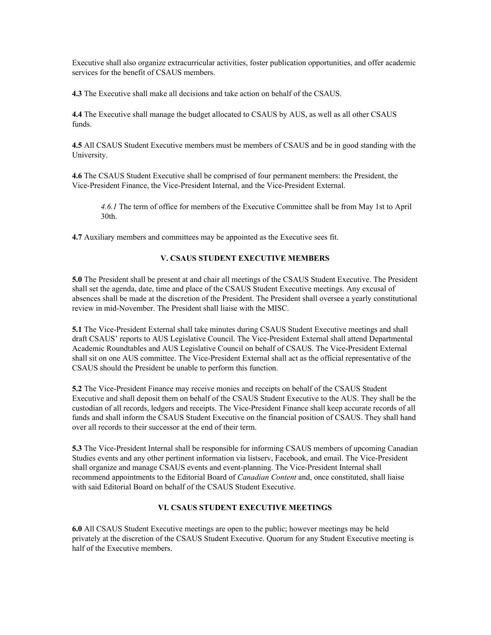Executive shall also organize extracurricular activities, foster publication opportunities, and offer academic services for the benefit of CSAUS members.

**4.3** The Executive shall make all decisions and take action on behalf of the CSAUS.

**4.4** The Executive shall manage the budget allocated to CSAUS by AUS, as well as all other CSAUS funds.

**4.5** All CSAUS Student Executive members must be members of CSAUS and be in good standing with the University.

**4.6** The CSAUS Student Executive shall be comprised of four permanent members: the President, the Vice-President Finance, the Vice-President Internal, and the Vice-President External.

*4.6.1* The term of office for members of the Executive Committee shall be from May 1st to April 30th.

**4.7** Auxiliary members and committees may be appointed as the Executive sees fit.

#### **V. CSAUS STUDENT EXECUTIVE MEMBERS**

**5.0** The President shall be present at and chair all meetings of the CSAUS Student Executive. The President shall set the agenda, date, time and place of the CSAUS Student Executive meetings. Any excusal of absences shall be made at the discretion of the President. The President shall oversee a yearly constitutional review in mid-November. The President shall liaise with the MISC.

**5.1** The Vice-President External shall take minutes during CSAUS Student Executive meetings and shall draft CSAUS' reports to AUS Legislative Council. The Vice-President External shall attend Departmental Academic Roundtables and AUS Legislative Council on behalf of CSAUS. The Vice-President External shall sit on one AUS committee. The Vice-President External shall act as the official representative of the CSAUS should the President be unable to perform this function.

**5.2** The Vice-President Finance may receive monies and receipts on behalf of the CSAUS Student Executive and shall deposit them on behalf of the CSAUS Student Executive to the AUS. They shall be the custodian of all records, ledgers and receipts. The Vice-President Finance shall keep accurate records of all funds and shall inform the CSAUS Student Executive on the financial position of CSAUS. They shall hand over all records to their successor at the end of their term.

**5.3** The Vice-President Internal shall be responsible for informing CSAUS members of upcoming Canadian Studies events and any other pertinent information via listserv, Facebook, and email. The Vice-President shall organize and manage CSAUS events and event-planning. The Vice-President Internal shall recommend appointments to the Editorial Board of *Canadian Content* and, once constituted, shall liaise with said Editorial Board on behalf of the CSAUS Student Executive.

## **VI. CSAUS STUDENT EXECUTIVE MEETINGS**

**6.0** All CSAUS Student Executive meetings are open to the public; however meetings may be held privately at the discretion of the CSAUS Student Executive. Quorum for any Student Executive meeting is half of the Executive members.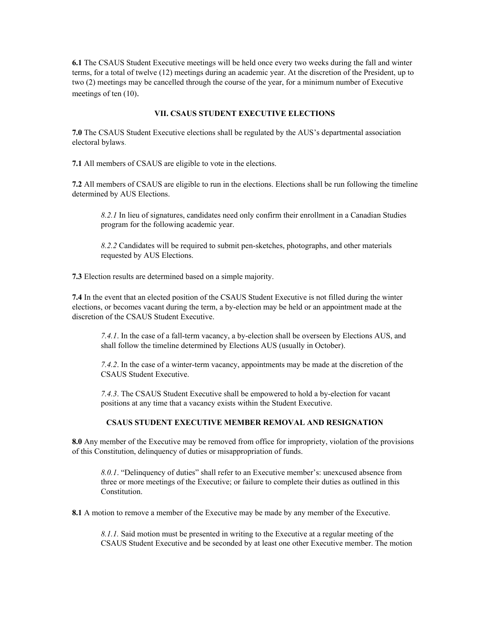**6.1** The CSAUS Student Executive meetings will be held once every two weeks during the fall and winter terms, for a total of twelve (12) meetings during an academic year. At the discretion of the President, up to two (2) meetings may be cancelled through the course of the year, for a minimum number of Executive meetings of ten (10).

#### **VII. CSAUS STUDENT EXECUTIVE ELECTIONS**

**7.0** The CSAUS Student Executive elections shall be regulated by the AUS's departmental association electoral bylaws.

**7.1** All members of CSAUS are eligible to vote in the elections.

**7.2** All members of CSAUS are eligible to run in the elections. Elections shall be run following the timeline determined by AUS Elections.

*8.2.1* In lieu of signatures, candidates need only confirm their enrollment in a Canadian Studies program for the following academic year.

*8.2.2* Candidates will be required to submit pen-sketches, photographs, and other materials requested by AUS Elections.

**7.3** Election results are determined based on a simple majority.

**7.4** In the event that an elected position of the CSAUS Student Executive is not filled during the winter elections, or becomes vacant during the term, a by-election may be held or an appointment made at the discretion of the CSAUS Student Executive.

*7.4.1*. In the case of a fall-term vacancy, a by-election shall be overseen by Elections AUS, and shall follow the timeline determined by Elections AUS (usually in October).

*7.4.2*. In the case of a winter-term vacancy, appointments may be made at the discretion of the CSAUS Student Executive.

*7.4.3*. The CSAUS Student Executive shall be empowered to hold a by-election for vacant positions at any time that a vacancy exists within the Student Executive.

#### **CSAUS STUDENT EXECUTIVE MEMBER REMOVAL AND RESIGNATION**

**8.0** Any member of the Executive may be removed from office for impropriety, violation of the provisions of this Constitution, delinquency of duties or misappropriation of funds.

*8.0.1*. "Delinquency of duties" shall refer to an Executive member's: unexcused absence from three or more meetings of the Executive; or failure to complete their duties as outlined in this **Constitution** 

**8.1** A motion to remove a member of the Executive may be made by any member of the Executive.

*8.1.1.* Said motion must be presented in writing to the Executive at a regular meeting of the CSAUS Student Executive and be seconded by at least one other Executive member. The motion